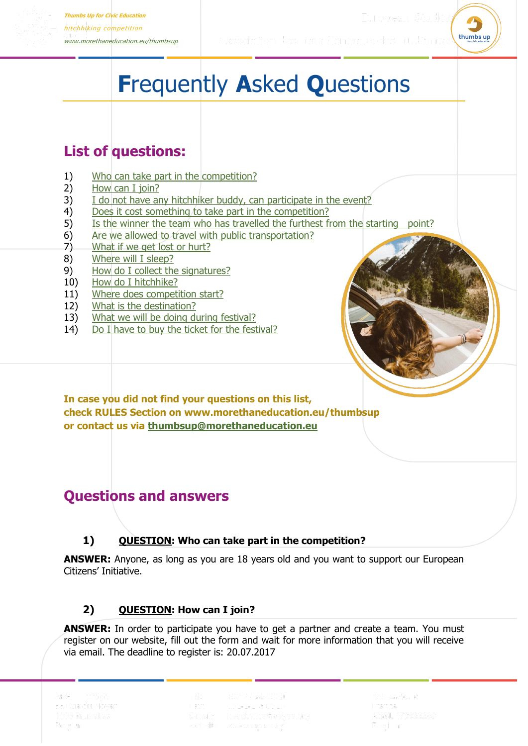

# **F**requently **A**sked **Q**uestions

# **List of questions:**

- 1) [Who can take part in the competition?](#page-0-0)
- 2) [How can I join?](#page-0-1)
- 3) [I do not have any hitchhiker buddy, can participate in the event?](#page-1-0)
- 4) [Does it cost something to take part in the competition?](#page-1-1)
- 5) [Is the winner the team who has travelled the furthest from the starting point?](#page-1-2)
- 6) [Are we allowed to travel with public transportation?](#page-1-3)
- 7) [What if we get lost or hurt?](#page-1-4)
- 8) [Where will I sleep?](#page-1-4)
- 9) [How do I collect the signatures?](#page-1-5)
- 10) [How do I hitchhike?](#page-2-0)
- 11) [Where does competition start?](#page-2-1)
- 12) [What is the destination?](#page-2-2)
- 13) [What we will be doing during festival?](#page-2-3)
- 14) [Do I have to buy the ticket for the festival?](#page-2-3)



**In case you did not find your questions on this list, check RULES Section on [www.morethaneducation.eu/thumbsup](http://www.morethaneducation.eu/thumbsup) or contact us via [thumbsup@morethaneducation.eu](mailto:thumbsup@morethaneducation.eu)**

# **Questions and answers**

#### **1) QUESTION: Who can take part in the competition?**

<span id="page-0-0"></span>**ANSWER:** Anyone, as long as you are 18 years old and you want to support our European Citizens' Initiative.

## **2) QUESTION: How can I join?**

<span id="page-0-1"></span>**ANSWER:** In order to participate you have to get a partner and create a team. You must register on our website, fill out the form and wait for more information that you will receive via email. The deadline to register is: 20.07.2017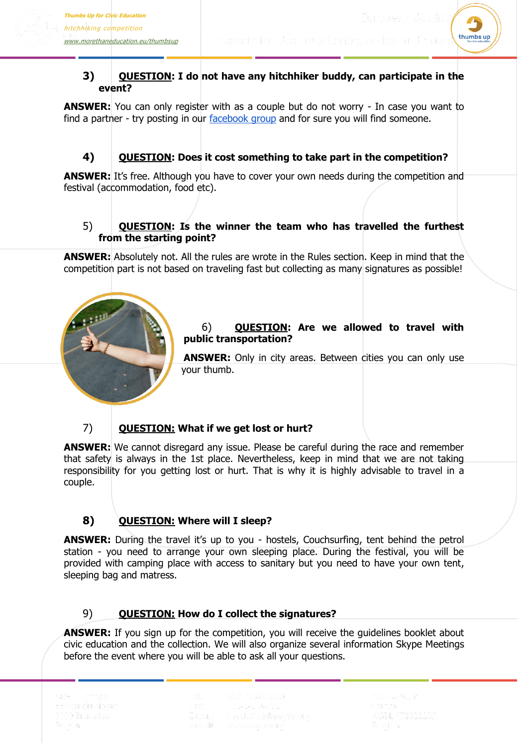

#### <span id="page-1-0"></span>**3) QUESTION: I do not have any hitchhiker buddy, can participate in the event?**

**ANSWER:** You can only register with as a couple but do not worry - In case you want to find a partner - try posting in our [facebook group](https://www.facebook.com/groups/695780127275701/) and for sure you will find someone.

## **4) QUESTION: Does it cost something to take part in the competition?**

<span id="page-1-1"></span>**ANSWER:** It's free. Although you have to cover your own needs during the competition and festival (accommodation, food etc).

#### <span id="page-1-2"></span>5) **QUESTION: Is the winner the team who has travelled the furthest from the starting point?**

**ANSWER:** Absolutely not. All the rules are wrote in the Rules section. Keep in mind that the competition part is not based on traveling fast but collecting as many signatures as possible!



#### <span id="page-1-3"></span>6) **QUESTION: Are we allowed to travel with public transportation?**

**ANSWER:** Only in city areas. Between cities you can only use your thumb.

# 7) **QUESTION: What if we get lost or hurt?**

<span id="page-1-4"></span>**ANSWER:** We cannot disregard any issue. Please be careful during the race and remember that safety is always in the 1st place. Nevertheless, keep in mind that we are not taking responsibility for you getting lost or hurt. That is why it is highly advisable to travel in a couple.

# **8) QUESTION: Where will I sleep?**

**ANSWER:** During the travel it's up to you - hostels, Couchsurfing, tent behind the petrol station - you need to arrange your own sleeping place. During the festival, you will be provided with camping place with access to sanitary but you need to have your own tent, sleeping bag and matress.

## 9) **QUESTION: How do I collect the signatures?**

<span id="page-1-5"></span>**ANSWER:** If you sign up for the competition, you will receive the guidelines booklet about civic education and the collection. We will also organize several information Skype Meetings before the event where you will be able to ask all your questions.